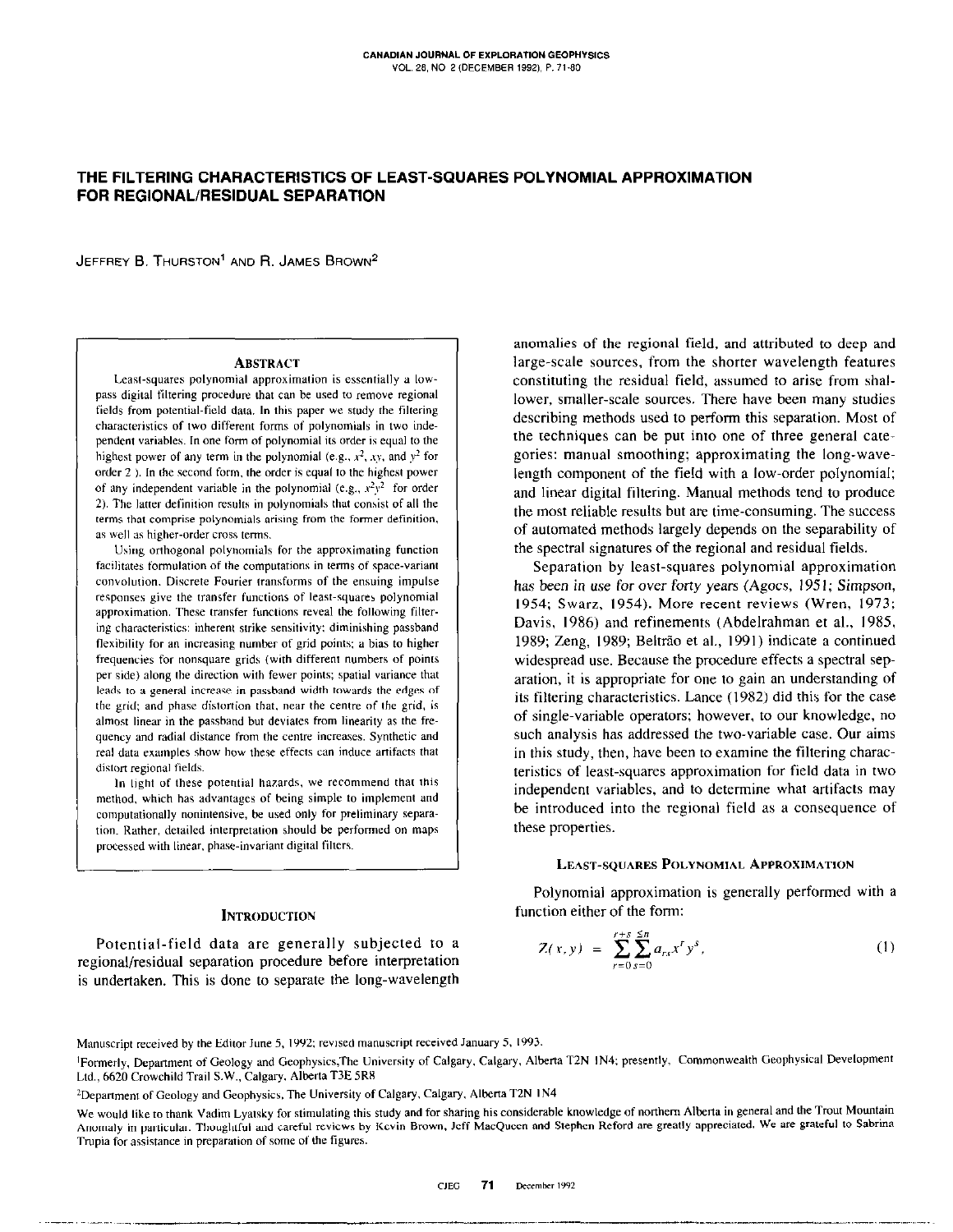# THE FILTERING CHARACTERISTICS OF LEAST-SQUARES POLYNOMIAL APPROXIMATION FOR REGIONAL/RESIDUAL SEPARATION

JEFFREY B. THURSTON<sup>1</sup> AND R. JAMES BROWN<sup>2</sup>

### **ABSTRACT**

Least-squares polynomial approximation is essentially a towpass digital filtering procedure that can be used to remove regional fields from potential-field data. In this paper we study the filtering characteristics of Iwo different forms of polynomials in two independent variables. In one form of polynomial its order is equal to the highest power of any term in the polynomial (e.g.,  $x^2$ , xy, and  $y^2$  for order 2). In the second form, the order is equal to the highest power of any independent variable in the polynomial (e.g.,  $x^2y^2$  for order 2). The latter definition results in polynomials that consist of all the terms that comprise polynomials arising from the former definition, as well as higher-order cross terms.

Using orthogonal polynomials for the approximating function facilitates formulation of the computations in terms of space-variant convolution. Discrete Fourier transforms of the ensuing impulse responses give the transfer functions of least-squares polynomial approximation. These transfer functions reveal the following filtering characteristics: inherent strike sensitivity: diminishing passband flexibility for an increasing number of grid points; a bias to higher frequencies for nonsquare grids (with different numbers of points per side) along the direction with fewer points; spatial variance that leads to a general increase in passband width towards the edges of the grid; and phase distortion that, near the centre of the grid, is almost linear in the passband but deviates from linearity as the frequency and radial distance from the centre increases. Synthetic and real data examples show how these effects can induce artifacts that distort regional fields.

In light of these potential hazards, we recommend that this method, which has advantages of being simple to implement and computationally nonintensive, be used only for preliminary separation. Rather, detailed interpretation should be performed on maps processed with linear, phase-invariant digital filters.

# **INTRODUCTION**

Potential-field data are generally subjected to a regional/residual separation procedure before interpretation is undertaken. This is done to separate the long-wavelength

anomalies of the regional field, and attributed to deep and large-scale sources, from the shorter wavelength features constituting the residual field, assumed to arise from shallower, smaller-scale sources. There have been many studies describing methods used to perform this separation. Most of the techniques can be put into one of three general categories: manual smoothing; approximating the long-wavelength component of the field with a low-order polynomial; and linear digital filtering. Manual methods tend to produce the most reliable results but are time-consuming. The success of automated methods largely depends on the separability of the spectral signatures of the regional and residual fields.

Separation by least-squares polynomial approximation has been in use for over forty years (Agocs, 1951; Simpson, 1954; Swarz, 1954). More recent reviews (Wren, 1973; Davis, 1986) and refinements (Abdelrahman et al., 1985, 1989; Zeng, 1989; Beltrão et al., 1991) indicate a continued widespread use. Because the procedure effects a spectral separation, it is appropriate for one to gain an understanding of its filtering characteristics. Lance (1982) did this for the case of single-variable operators: however. to our knowledge, no such analysis has addressed the two-variable case. Our aims in this study, then, have been to examine the filtering characteristics of least-squares approximation for field data in two independent variables, and to determine what artifacts may be introduced into the regional field as a consequence of these properties.

### LEAST-SQUARES POLYNOMIAL APPROXIMATION

Polynomial approximation is generally performed with a function either of the form:

$$
Z(x, y) = \sum_{r=0}^{r+s} \sum_{s=0}^{5n} a_{rs} x^r y^s, \qquad (1)
$$

Manuscript received by the Editor June 5, 1992; revised manuscript received January 5, 1993.

<sup>&</sup>lt;sup>1</sup>Formerly, Department of Geology and Geophysics,The University of Calgary, Calgary, Alberta T2N 1N4; presently, Commonwealth Geophysical Development Ltd., 6620 Crowchild Trail S.W., Calgary, Alberta T3E 5R8

<sup>&</sup>lt;sup>2</sup>Department of Geology and Geophysics, The University of Calgary, Calgary, Alberta T2N 1N4

We would like to thank Vadim Lyatsky for stimulating this study and for sharing his considerable knowledge of northem Alberta in general and the Trout Mountain Anomaly in particular. Thoughtful and careful reviews by Kevin Brown, Jeff MacQueen and Stephen Reford are greatly appreciated. We are grateful to Sabrina Trupia for assistance in preparation of some of the figures.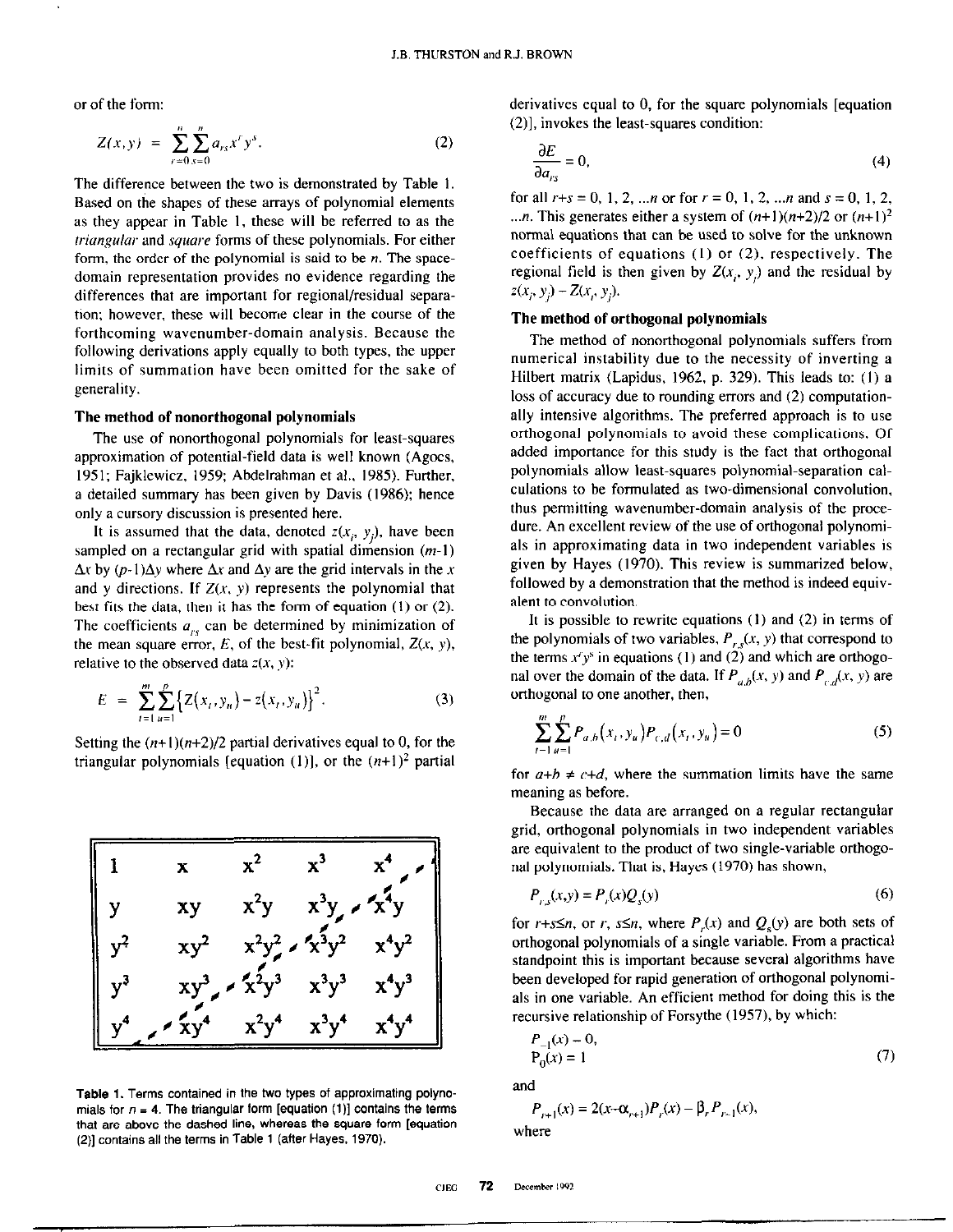or of the form:

$$
Z(x, y) = \sum_{r=0}^{n} \sum_{s=0}^{n} a_{rs} x^{r} y^{s}.
$$
 (2)

The difference between the two is demonstrated by Table I. Based on the shapes of these arrays of polynomial elements as they appear in Table I. these will be referred to as the triangular and square forms of these polynomials. For either form, the order of the polynomial is said to be  $n$ . The spacedomain representation provides no evidence regarding the differences that are important for regional/residual separation; however, these will become clear in the course of the forthcoming wavenumber-domain analysis. Because the following derivations apply equally to both types, the upper limits of summation have been omitted for the sake of generality.

### The method of nonorthogonal polynomials

The use of nonorthogonal polynomials for least-squares approximation of potential-field data is well known (Agocs, 1951; Fajklewicz, 1959; Abdelrahman et al., 1985). Further, a detailed summary has been given by Davis (1986); hence only a cursory discussion is presented here.

It is assumed that the data, denoted  $z(x_i, y_i)$ , have been sampled on a rectangular grid with spatial dimension  $(m-1)$  $\Delta x$  by  $(p-1)\Delta y$  where  $\Delta x$  and  $\Delta y$  are the grid intervals in the x and y directions. If  $Z(x, y)$  represents the polynomial that best fits the data, then it has the form of equation (I) or (2). The coefficients  $a_{rs}$  can be determined by minimization of the mean square error, E, of the best-fit polynomial,  $Z(x, y)$ , relative to the observed data  $z(x, y)$ :

$$
E = \sum_{t=1}^{m} \sum_{u=1}^{p} \left\{ Z(x_t, y_u) - z(x_t, y_u) \right\}^2.
$$
 (3)

Setting the  $(n+1)(n+2)/2$  partial derivatives equal to 0, for the triangular polynomials [equation (1)], or the  $(n+1)^2$  partial



Table 1. Terms contained in the two types of approximating polynomials for  $n = 4$ . The triangular form [equation (1)] contains the terms that are above the dashed line, whereas the square form [equation (2)] contains all the terms in Table 1 (after Hayes, 1970).

derivatives equal to 0, for the square polynomials [equation (2)], invokes the least-squares condition:

$$
\frac{\partial E}{\partial a_{rs}} = 0.
$$
 (4)

for all  $r+s = 0, 1, 2, ...$  or for  $r = 0, 1, 2, ...$  and  $s = 0, 1, 2, ...$ ...*n*. This generates either a system of  $(n+1)(n+2)/2$  or  $(n+1)^2$ normal equations that can be used to solve for the unknown coefficients of equations (I) or (2), respectively. The regional field is then given by  $Z(x_i, y_i)$  and the residual by  $z(x_i, y_j) - Z(x_i, y_j)$ .

# The method of orthogonal polynomials

The method of nonorthogonal polynomials suffers from numerical instability due to the necessity of inverting a Hilbert matrix (Lapidus, 1962, p. 329). This leads to:  $(1)$  a loss of accuracy due to rounding errors and (2) computationally intensive algorithms. The preferred approach is to use orthogonal polynomials to avoid these complications. Of added importance for this study is the fact that orthogonal polynomials allow least-squares polynomial-separation calculations to be formulated as two-dimensional convolution. thus permitting wavenumber-domain analysis of the procedure. An excellent review of the use of orthogonal polynomials in approximating data in two independent variables is given by Hayes (1970). This review is summarized below, followed by a demonstration that the method is indeed equivalent to convolution.

It is possible to rewrite equations (I) and (2) in terms of the polynomials of two variables,  $P_{r,s}(x, y)$  that correspond to the terms  $x^r y^s$  in equations (1) and (2) and which are orthogonal over the domain of the data. If  $P_{ab}(x, y)$  and  $P_{cd}(x, y)$  are orthogonal to one another, then,

$$
\sum_{t=1}^{m} \sum_{u=1}^{p} P_{a,b}(x_t, y_u) P_{c,d}(x_t, y_u) = 0
$$
 (5)

for  $a+b \neq c+d$ , where the summation limits have the same meaning as before.

Because the data are arranged on a regular rectangular grid, orthogonal polynomials in two independent variables are equivalent to the product of two single-variable orthogonal polynomials. That is, Hayes (1970) has shown,

$$
P_{r,s}(x,y) = P_r(x)Q_s(y)
$$
 (6)

for  $r+s\leq n$ , or  $r, s\leq n$ , where  $P_r(x)$  and  $Q_s(y)$  are both sets of orthogonal polynomials of a single variable. From a practical standpoint this is important because several algorithms have been developed for rapid generation of orthogonal polynomials in one variable. An efficient method for doing this is the recursive relationship of Forsythe (1957), by which:

$$
P_{-1}(x) = 0,
$$
  
\n
$$
P_0(x) = 1
$$
 (7)

and

$$
P_{r+1}(x) = 2(x-\alpha_{r+1})P_r(x) - \beta_r P_{r-1}(x),
$$
  
where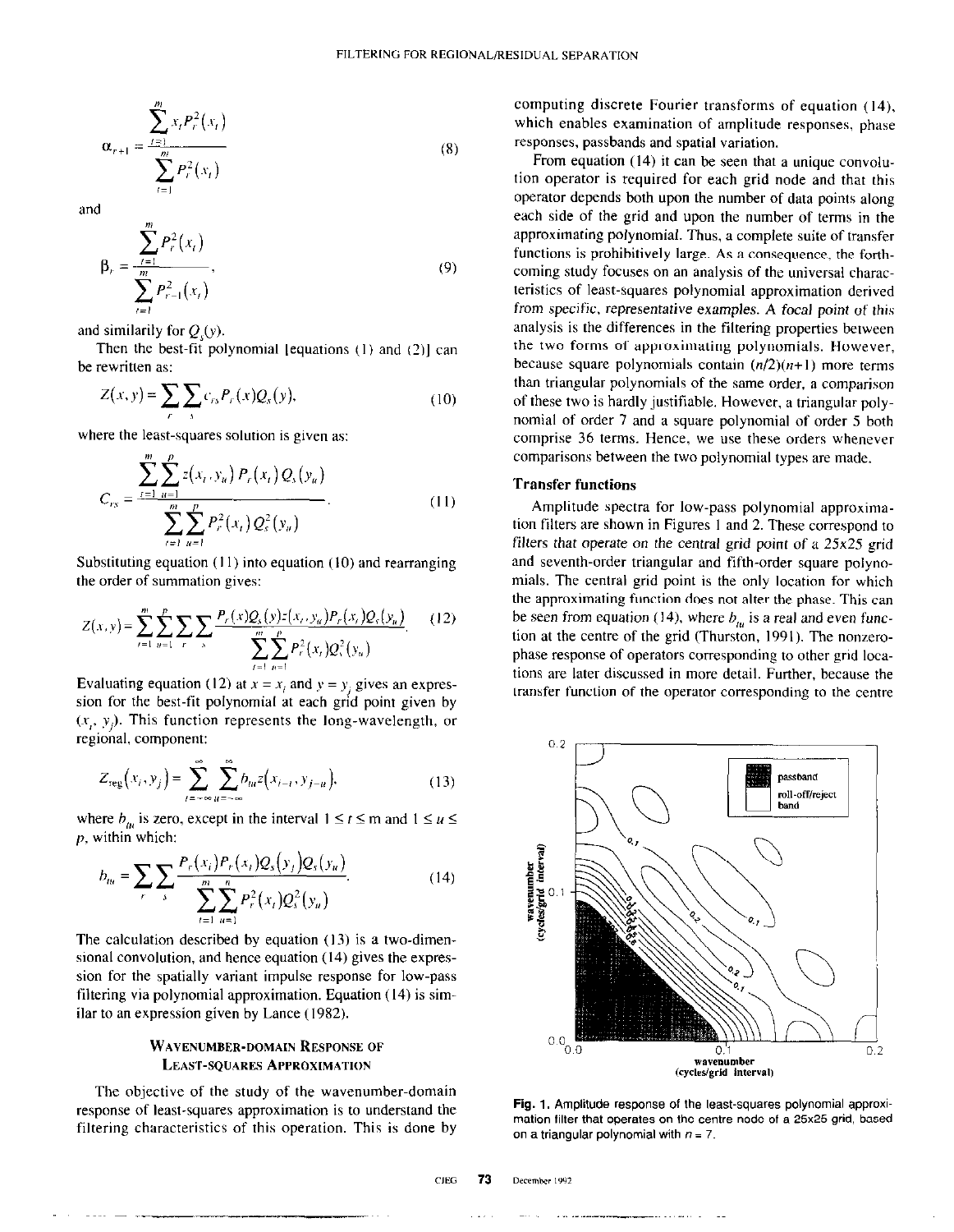$$
\alpha_{r+1} = \frac{\sum_{t=1}^{m} x_t P_r^2(x_t)}{\sum_{t=1}^{m} P_r^2(x_t)}
$$
(8)

and

$$
\beta_r = \frac{\sum_{t=1}^{m} P_r^2(x_t)}{\sum_{t=1}^{m} P_{r-1}^2(x_t)},
$$
\n(9)

and similarily for  $Q<sub>c</sub>(y)$ .

Then the best-fit polynomial [equations  $(1)$  and  $(2)$ ] can be rewritten as:

$$
Z(x, y) = \sum_{r} \sum_{s} c_{rs} P_r(x) Q_s(y), \qquad (10)
$$

where the least-squares solution is given as:

$$
C_{rs} = \frac{\sum_{t=1}^{m} \sum_{u=1}^{p} z(x_t, y_u) P_r(x_t) Q_s(y_u)}{\sum_{t=1}^{m} \sum_{u=1}^{p} P_r^2(x_t) Q_s^2(y_u)}.
$$
 (11)

Substituting equation  $(11)$  into equation  $(10)$  and rearranging the order of summation gives:

$$
Z(x, y) = \sum_{i=1}^{m} \sum_{u=1}^{p} \sum_{r} \sum_{s} \frac{P_r(x)Q_s(y)z(x_r, y_u)P_r(x_r)Q_s(y_u)}{\sum_{i=1}^{m} \sum_{u=1}^{p} P_r^2(x_r)Q_s^2(y_u)}.
$$
 (12)

Evaluating equation (12) at  $x = x_i$  and  $y = y_i$  gives an expression for the best-fit polynomial at each grid point given by  $(x, y)$ . This function represents the long-wavelength, or regional, component:

$$
Z_{reg}(x_i, y_j) = \sum_{t=-\infty}^{\infty} \sum_{u=-\infty}^{\infty} b_{iu} z(x_{i-t}, y_{j-u}),
$$
 (13)

where  $b_{\mu}$  is zero, except in the interval  $1 \le t \le m$  and  $1 \le u \le 2$ p. within which:

$$
b_{tu} = \sum_{r} \sum_{s} \frac{P_r(x_i) P_r(x_t) Q_s(y_t) Q_s(y_u)}{\sum_{t=1}^{m} \sum_{u=1}^{n} P_r^2(x_t) Q_s^2(y_u)}.
$$
 (14)

The calculation described by equation  $(13)$  is a two-dimensional convolution, and hence equation (14) gives the expression for the spatially variant impulse response for low-pass filtering via polynomial approximation. Equation (14) is similar to an expression given by Lance (1982).

## WAVENUMBER-DOMAIN RESPONSE OF **LEAST-SQUARES APPROXIMATION**

The objective of the study of the wavenumber-domain response of least-squares approximation is to understand the filtering characteristics of this operation. This is done by computing discrete Fourier transforms of equation (14). which enables examination of amplitude responses, phase responses, passbands and spatial variation.

From equation (14) it can be seen that a unique convolution operator is required for each grid node and that this operator depends both upon the number of data points along each side of the grid and upon the number of terms in the approximating polynomial. Thus, a complete suite of transfer functions is prohibitively large. As a consequence, the forthcoming study focuses on an analysis of the universal characteristics of least-squares polynomial approximation derived from specific, representative examples. A focal point of this analysis is the differences in the filtering properties between the two forms of approximating polynomials. However, because square polynomials contain  $(n/2)(n+1)$  more terms than triangular polynomials of the same order, a comparison of these two is hardly justifiable. However, a triangular polynomial of order 7 and a square polynomial of order 5 both comprise 36 terms. Hence, we use these orders whenever comparisons between the two polynomial types are made.

# Transfer functions

Amplitude spectra for low-pass polynomial approximation filters are shown in Figures I and 2. These correspond to filters that operate on the central grid point of a  $25x25$  grid and seventh-order triangular and fifth-order square polynomials. The central grid point is the only location for which the approximating function does not alter the phase. This can be seen from equation (14), where  $b<sub>m</sub>$  is a real and even function at the centre of the grid (Thurston, 1991). The nonzerophase response of operators corresponding to other grid locations are later discussed in more detail. Further, because the transfer function of the operator corresponding to the centre



Fig. 1. Amplitude response of the least-squares polynomial approximation filter that operates on the centre node of a 25x25 grid, based on a triangular polynomial with  $n = 7$ .

**CJEG** 73 December 1992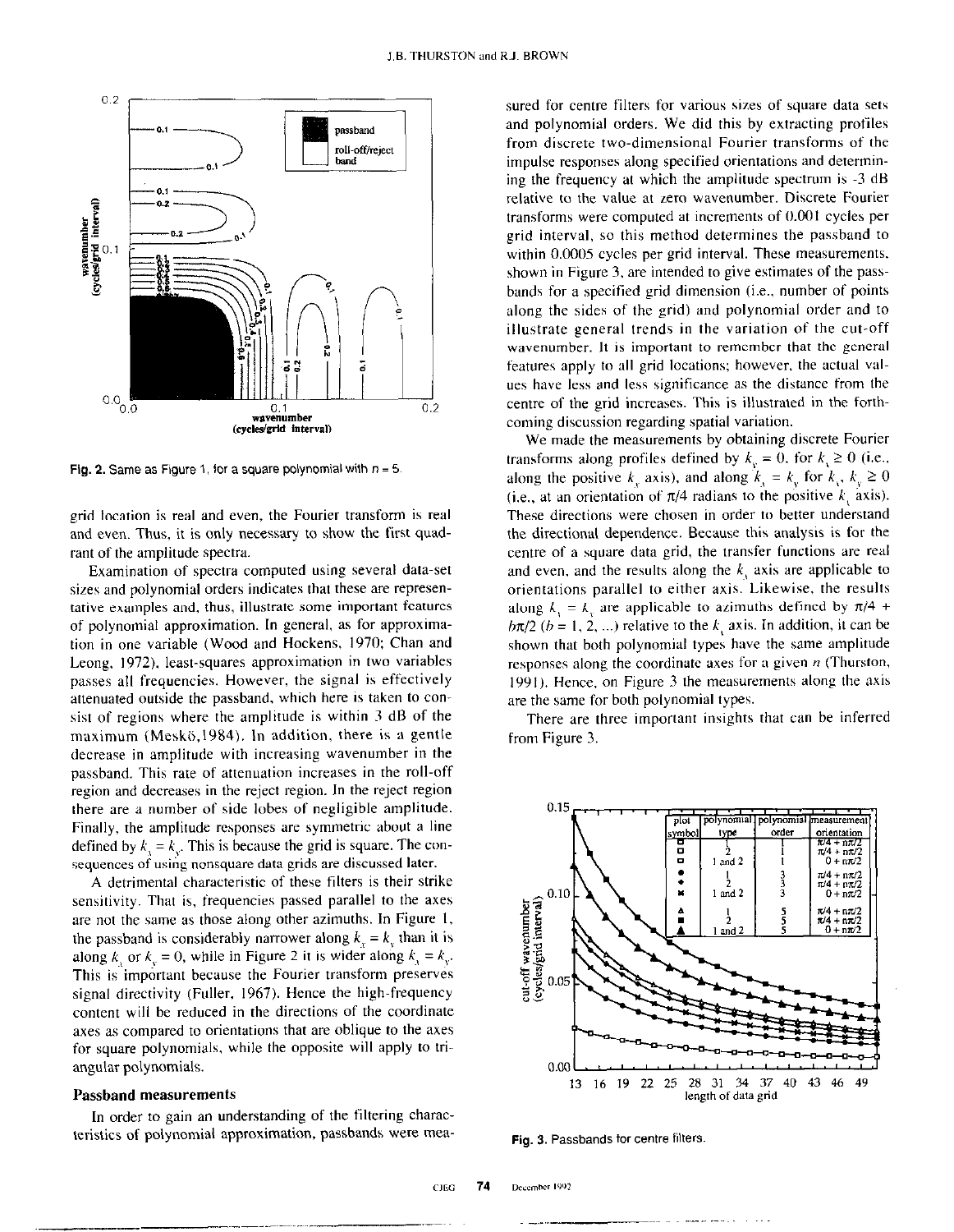

Fig. 2. Same as Figure 1, for a square polynomial with  $n = 5$ .

grid location is real and even, the Fourier transform is real and even. Thus, it is only necessary to show the first quadrant of the amplitude spectra.

Examination of spectra computed using several data-set sizes and polynomial orders indicates that these are representative examples and, thus, illustrate some important features of polynomial approximation. In general, as for approximation in one variable (Wood and Hockens, 1970; Chan and Leong. 1972). least-squares approximation in two variables passes all frequencies. However, the signal is effectively attenuated outside the passband, which here is taken to consist of regions where the amplitude is within 3 dB of the maximum (Meskö. 1984). In addition, there is a gentle decrease in amplitude with increasing wavenumber in the passband. This rate of attenuation increases in the roll-off region and decreases in the reject region. In the reject region there are a number of side lobes of negligible amplitude. Finally, the amplitude responses are symmetric about a line defined by  $k_1 = k_2$ . This is because the grid is square. The consequences of using nonsquare data grids are discussed later.

A detrimental characteristic of these filters is their strike sensitivity. That is, frequencies passed parallel to the axes are not the same as those along other azimuths. In Figure I, the passband is considerably narrower along  $k<sub>v</sub> = k<sub>v</sub>$  than it is along k, or  $k_y = 0$ , while in Figure 2 it is wider along  $k_y = k_y$ . This is important because the Fourier transform preserves signal directivity (Fuller, 1967). Hence the high-frequency content will be reduced in the directions of the coordinate axes as compared to orientations that are oblique to the axes for square polynomials, while the opposite will apply to triangular polynomials.

#### Passband measurements

In order to gain an understanding of the filtering characteristics of polynomial approximation, passbands were measured for centre filters for various sizes of square data sets and polynomial orders. We did this by extracting profiles from discrete two-dimensional Fourier transforms of the impulse responses along specified orientations and detennining the frequency at which the amplitude spectrum is -3 dB relative to the value at zero wavenumber. Discrete Fourier transforms were computed at increments of 0.001 cycles per grid interval, so this method determines the passband to within 0.0005 cycles per grid interval. These measurements. shown in Figure 3, are intended to give estimates of the passbands for a specified grid dimension (i.e.. number of points along the sides of the grid) and polynomial order and to illustrate general trends in the variation of the cut-off wavenumber. It is important to remember that the general features apply to all grid locations; however, the actual values have less and less significance as the distance from the centre of the grid increases. This is illustrated in the forthcoming discussion regarding spatial variation.

We made the measurements by obtaining discrete Fourier transforms along profiles defined by  $k<sub>v</sub> = 0$ , for  $k<sub>v</sub> \ge 0$  (i.e., along the positive  $k_x$  axis), and along  $k_y = k_y$  for  $k_y, k_y \ge 0$ (i.e., at an orientation of  $\pi/4$  radians to the positive k, axis). These directions were chosen in order to better understand the directionel dependence. Because this analysis is for the centre of a square data grid, the transfer functions are real and even, and the results along the  $k<sub>i</sub>$  axis are applicable to orientations parallel to either axis. Likewise, the results along  $k_1 = k_y$  are applicable to azimuths defined by  $\pi/4$  +  $b\pi/2$  ( $b = 1, 2, ...$ ) relative to the k, axis. In addition, it can be shown that both polynomial types have the same amplitude responses along the coordinate axes for a given  $n$  (Thurston, 1991). Hence, on Figure 3 the mensuranents along the axis are the same for both polynomial types.

There are three important insights that can be inferred from Figure 3.



Fig. 3. Passbands for centre filters.

CJEG 74 December 1992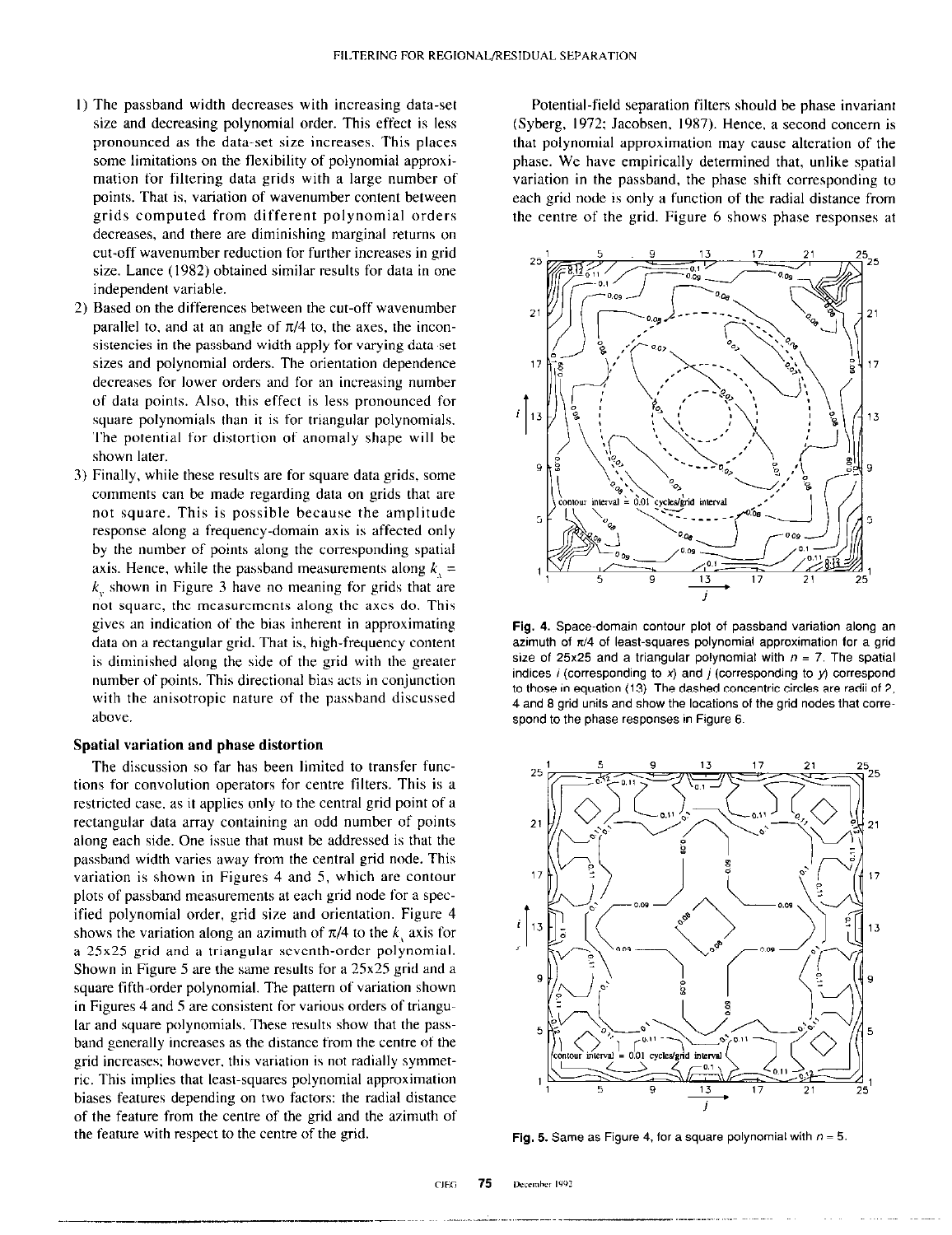- I) The passband width decreases with increasing data-set size and decreasing polynomial order. This effect is less pronounced as the data-set size increases. This places some limitations on the flexibility of polynomial approximation for filtering data grids with a large number of points. That is, variation of wavenumber content between grids computed from different polynomial orders decreases, and there are diminishing marginal returns on cut-off wavenumber reduction for further increases in grid size. Lance (1982) obtained similar results for data in one independent variable.
- 2) Based on the differences between the cut-off wavenumber parallel to, and at an angle of  $\pi/4$  to, the axes, the inconsistencies in the passband width apply for varying data-set sizes and polynomial orders. The orientation dependence decreases for lower orders and for an increasing number of data points. Also, this effect is less pronounced for square polynomials than it is for triangular polynomials. The potential for distortion of anomaly shape will be shown later.
- 3) Finally. while these results are for square data grids, some comments can be made regarding data on grids that are not square. This is possible because the amplitude response along a frequency-domain axis is affected only by the number of points along the corresponding spatial axis. Hence, while the passband measurements along  $k_1 =$  $k_{v}$  shown in Figure 3 have no meaning for grids that are not square, the measurements along the axes do. This gives an indication of the bias inherent in approximating data on a rectangular grid. That is, high-frequency content is diminished along the side of the grid with the greater number of points. This directional bias acts in conjunction with the anisotropic nature of the passhand discussed above.

### Spatial variation and phase distortion

The discussion so far has been limited to transfer functions for convolution operators for centre filters. This is a restricted case, as it applies only to the central grid point of a rectangular data array containing an odd number of points along each side. One issue that must be addressed is that the passband width varies away from the central grid node. This variation is shown in Figures 4 and 5, which are contour plots of passband measurements at each grid node for a specified polynomial order, grid size and orientation. Figure 4 shows the variation along an azimuth of  $\pi/4$  to the k axis for a  $25x25$  grid and a triangular seventh-order polynomial. Shown in Figure 5 are the same results for a  $25x25$  grid and a square fifth-order polynomial. The pattern of variation shown in Figures 4 and 5 are consistent for various orders of triangular and square polynomials. These results show that the passband generally increases as the distance from the centre of the grid increases; however, this variation is not radially symmetric. This implies that least-squares polynomial approximation biases features depending on two factors: the radial distance of the feature from the centre of the grid and the azimuth of the feature with respect to the centre of the grid.

Potential-field separation filters should be phase invariant (Syberg, 1972; Jacobsen, 1987). Hence, a second concern is that polynomial approximation may cause alteration of the phase. We have empirically determined that, unlike spatial variation in the passband, the phase shift corresponding to each grid node is only a function of the radial distance from the centre of the grid. Figure 6 shows phase responses at



Fig. 4. Space-domain contour plot of passband variation along an azimuth of  $\pi/4$  of least-squares polynomial approximation for a grid size of 25x25 and a triangular polynomial with  $n = 7$ . The spatial indices i (corresponding to  $x$ ) and j (corresponding to  $y$ ) correspond to those in equation (13). The dashed concentric circles are radii of 2. 4 and 8 grid units and show the locations of the grid nodes that correspond to the phase responses in Figure 6.



Fig. 5. Same as Figure 4, for a square polynomial with  $n = 5$ .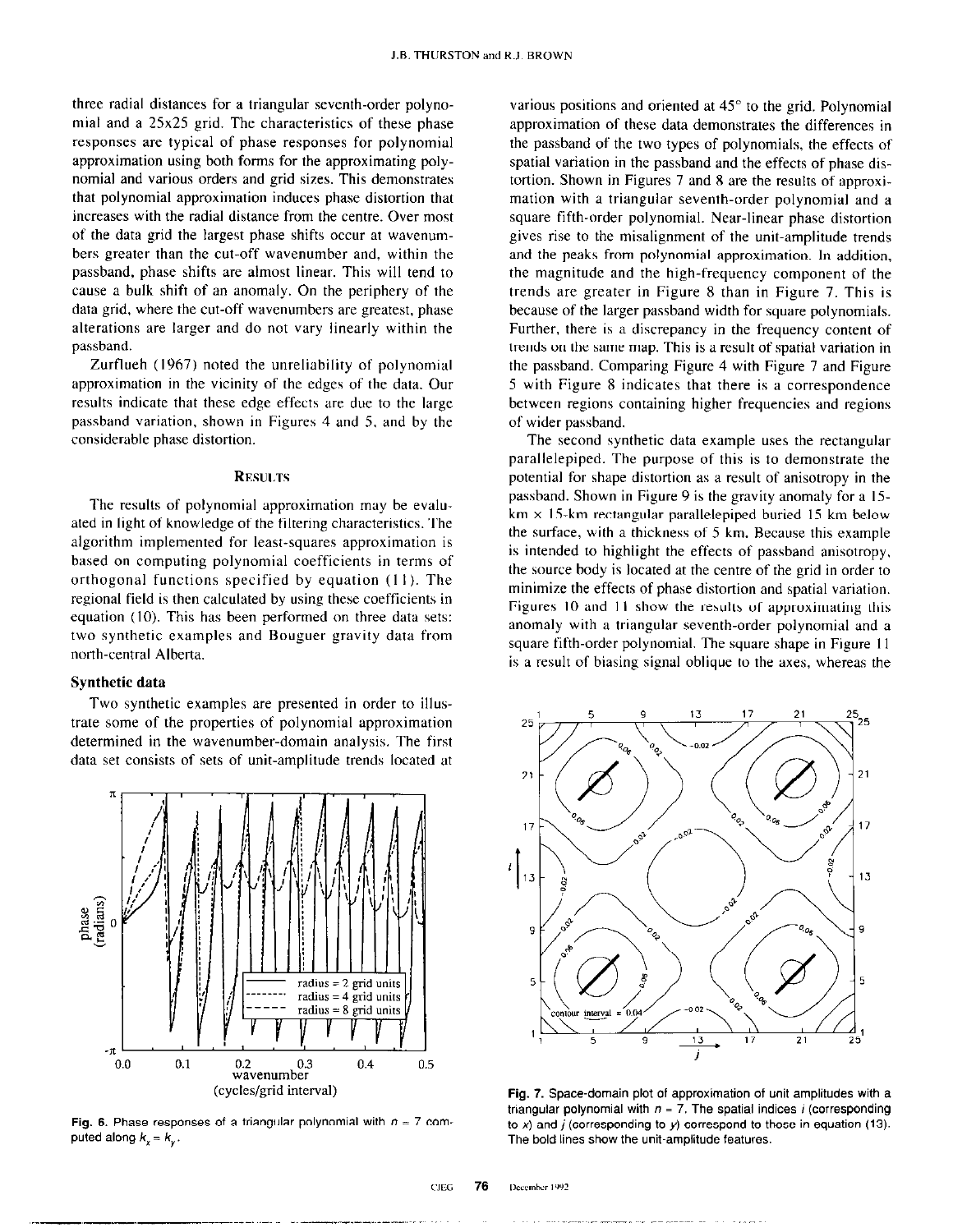three radial distances for a triangular seventh-order polynomial and a 25x25 grid. The characteristics of these phase responses are typical of phase responses for polynomial approximation using both forms for the approximating polynomial and various orders and grid sizes. This demonstrates that polynomial approximation induces phase distortion that increases with the radial distance from the centre. Over most of the data grid the largest phase shifts occur at wavenumhers greater than the cut-off wavenumber and, within the passhand, phase shifts are almost linear. This will tend to cause a bulk shift of an anomaly. On the periphery of the data grid, where the cut-off wavenumbers are greatest, phase alterations are larger and do not vary linearly within the passhand.

Zurflueh (1967) noted the unreliability of polynomial approximation in the vicinity of the edges of the data. Our results indicate that these edge effects arc due to the large passhand variation, shown in Figures 4 and S. and by the considerable phase distortion.

#### **RESULTS**

The results of polynomial approximation may be evaluated in light of knowledge of the filtering characteristics. The algorithm implemented for least-squares approximation is based on computing polynomial coefficients in terms of orthogonal functions specified by equation (I I ). The regional field is then calculated by using these coefficients in equation (IO). This has been performed on three data sets: two synthetic examples and Bouguer gravity data from north-central Alberta.

# Synthetic data

Two synthetic examples are presented in order to illustrate some of the properties of polynomial approximation determined in the wavenumber-domain analysis. The first data set consists of sets of unit-amplitude trends located at



Fig. 6. Phase responses of a triangular polynomial with  $n = 7$  computed along  $k_x = k_y$ .

various positions and oriented at  $45^\circ$  to the grid. Polynomial approximation of these data demonstrates the differences in the passhand of the two types of polynomials, the effects of spatial variation in the passhand and the effects of phase distortion. Shown in Figures 7 and 8 are the results of approximation with a triangular seventh-order polynomial and a square fifth-order polynomial. Near-linear phase distortion gives rise to the misalignment of the unit-amplitude trends and the peaks from polynomial approximation. In addition, the magnitude and the high-frequency component of the trends are greater in Figure 8 than in Figure 7. This is because of the larger passhand width for square polynomials. Further, there is a discrepancy in the frequency content of trends on the same map. This is a result of spatial variation in the passhand. Comparing Figure 4 with Figure 7 and Figure 5 with Figure 8 indicates that there is a correspondence between regions containing higher frequencies and regions of wider passhand.

The second synthetic data example uses the rectangular parallelepiped. The purpose of this is to demonstrate the potential for shape distortion as a result of anisotropy in the passband. Shown in Figure 9 is the gravity anomaly for a IS $km \times 15$ -km rectangular parallelepiped buried 15 km below the surface, with a thickness of 5 km. Because this example is intended to highlight the effects of passhand anisotropy. the source body is located at the centre of the grid in order to minimize the effects of phase distortion and spatial variation. Figures 10 and 11 show the results of approximating this anomaly with a triangular seventh-order polynomial and a square fifth-order polynomial. The square shape in Figure I I is a result of biasing signal oblique to the axes, whereas the



Fig. 7. Space-domain plot of approximation of unit amplitudes with a triangular polynomial with  $n = 7$ . The spatial indices *i* (corresponding to x) and  $j$  (corresponding to y) correspond to those in equation (13). The bold lines show the unit-amplitude features.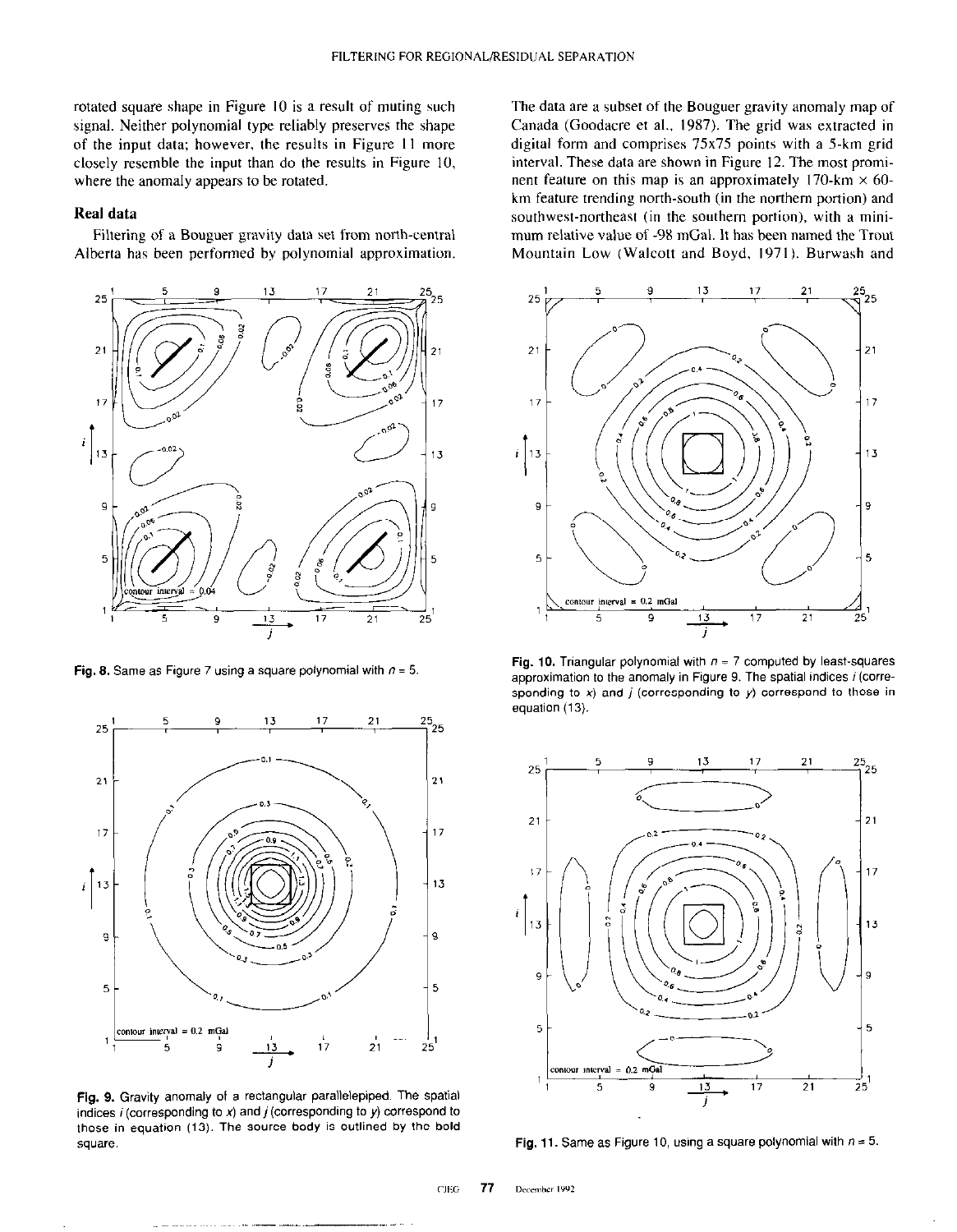rotated square shape in Figure IO is a result of muting such signal. Neither polynomial type reliably preserves the shape of the input data; however, the results in Figure 11 more closely resemble the input than do the results in Figure IO, where the anomaly appears to be rotated.

## Real data

Filtering of a Bouguer gravity data set from north-central Alberta has been performed by polynomial approximation.



Fig. 8. Same as Figure 7 using a square polynomial with  $n = 5$ .



Fig. 9. Gravity anomaly of a rectangular parallelepiped. The spatial indices  $i$  (corresponding to  $x$ ) and  $j$  (corresponding to  $y$ ) correspond to those in equation (13). The source body is outlined by the bold square.

The data are a subset of the Bouguer gravity anomaly map of Canada (Goodacre et al., 1987). The grid was extracted in digital form and comprises 75x75 points with a 5.km grid interval. These data are shown in Figure 12. The most prominent feature on this map is an approximately 170-km  $\times$  60km feature trending north-south (in the northern portion) and southwest-northeast (in the southern portion), with a minimum relative value of -9X mGal. It has been named the Trout Mountain Low (Walcott and Boyd, 1971). Burwash and



Fig. 10. Triangular polynomial with  $n = 7$  computed by least-squares approximation to the anomaly in Figure 9. The spatial indices i (corresponding to x) and  $j$  (corresponding to  $y$ ) correspond to those in equation (13).



Fig. 11. Same as Figure 10, using a square polynomial with  $n = 5$ .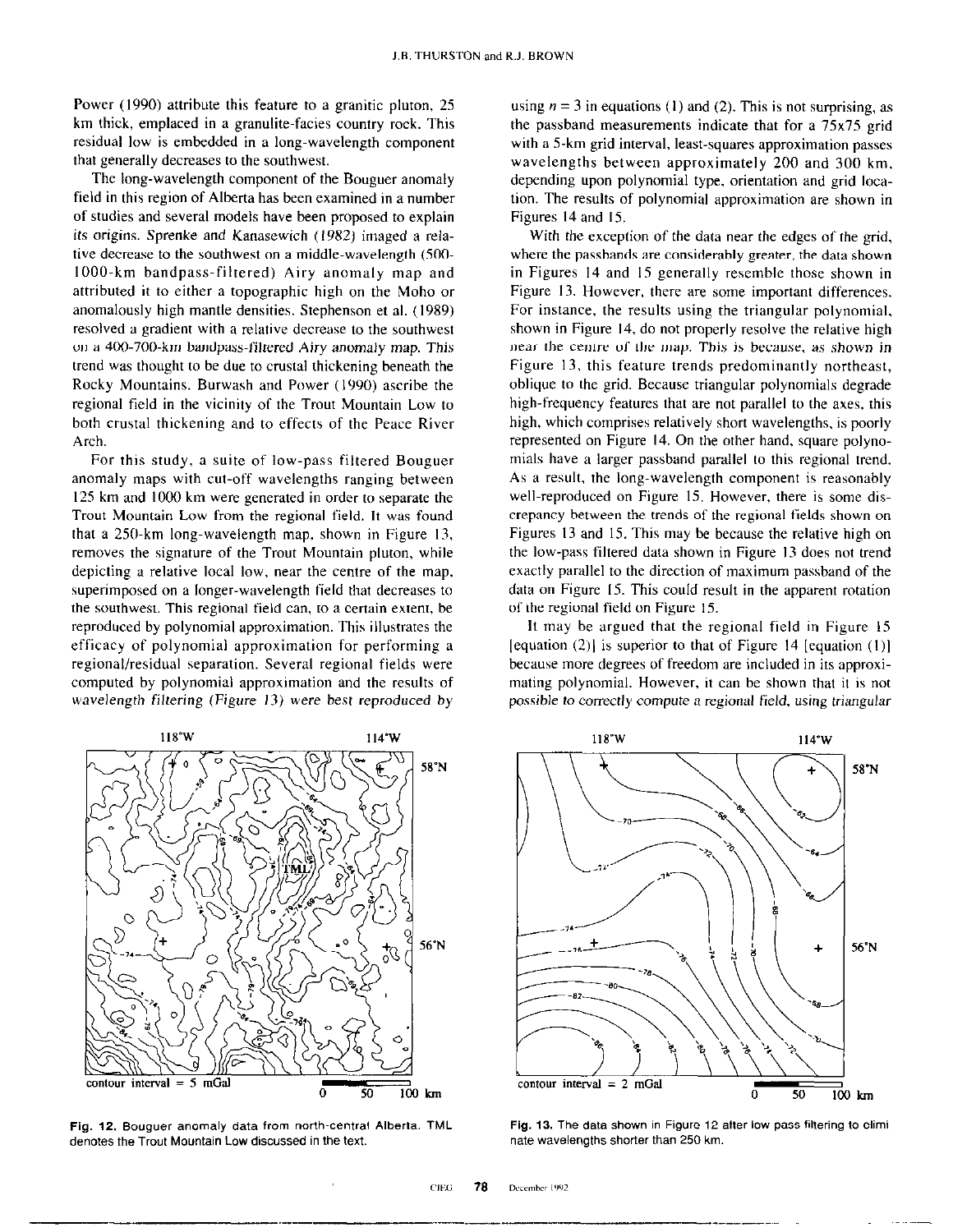Power (1990) attribute this feature to a granitic pluton, 25 km thick, emplaced in a granulite-facies country rock. This residual low is embedded in a long-wavelength component that generally decreases to the southwest.

The long-wavelength component of the Bouguer anomaly field in this region of Alberta has been examined in a number of studies and several models have been proposed to explain its origins. Sprenke and Kanasewich (1982) imaged a relative decrease to the southwest on a middle-wavelength (500. 1000.km bandpass-filtered) Airy anomaly map and attributed it to either a topographic high on the Moho or anomalously high mantle densities. Stephenson et al. (1989) resolved a gradient with a relative decrease to the southwest on a 400.700.km bandpass-filtered Airy anomaly map. This trend was thought to be due to crustal thickening beneath the Rocky Mountains. Burwash and Power (1990) ascribe the regional field in the vicinity of the Trout Mountain Low to both crustal thickening and to effects of the Peace River Arch.

For this study, a suite of low-pass filtered Bouguer anomaly maps with cut-off wavelengths ranging between I25 km and 1000 km were generated in order to separate the Trout Mountain Low from the regional field. It was found that a  $250$ -km long-wavelength map, shown in Figure 13, removes the signature of the Trout Mountain pluton, while depicting a relative local low, near the centre of the map. superimposed on a longer-wavelength field that decreases to the southwest. This regional field can, to a certain extent, be reproduced by polynomial approximation. This illustrates the efficacy of polynomial approximation for performing a regional/residual separation. Several regional fields were computed by polynomial approximation and the results of wavelength filtering (Figure 13) were best reproduced by



Fig. 12. Bouguer anomaly data from north~central Alberta. TML denotes the Trout Mountain Low discussed in the text.

using  $n = 3$  in equations (1) and (2). This is not surprising, as the passband measurements indicate that for a 75x75 grid with a 5.km grid interval, least-squares approximation passes wavelengths between approximately 200 and 300 km. depending upon polynomial type, orientation and grid location. The results of polynomial approximation are shown in Figures I4 and 15.

With the exception of the data near the edges of the grid, where the passbands are considerably greater, the data shown in Figures I4 and IS generally resemble those shown in Figure 13. However, there are some important differences. For instance, the results using the triangular polynomial, shown in Figure 14, do not properly resolve the relative high near the centre of the map. This is because. as shown in Figure 13, this feature trends predominantly northeast, oblique to the grid. Because triangular polynomials degrade high-frequency features that are not parallel to the axes, this high, which comprises relatively short wavelengths, is poorly represented on Figure 14. On the other hand, square polynomials have a larger passband parallel to this regional trend. As a result. the long-wavelength component is reasonably well-reproduced on Figure 15. However, there is some discrepancy between the trends of the regional fields shown on Figures I3 and IS. This may be because the relative high on the low-pass filtered data shown in Figure 13 does not trend exactly parallel to the direction of maximum passband of the data on Figure 15. This could result in the apparent rotation of the regional field on Figure 15.

It may be argued that the regional field in Figure IS [equation  $(2)$ ] is superior to that of Figure 14 [equation  $(1)$ ] because more degrees of freedom are included in its approximating polynomial. However, it can be shown that it is not possible to correctly compute a regional field, using triangular



Fig. 13. The data shown in Figure 12 after low-pass filtering to eliminate wavelengths shorter than 250 km.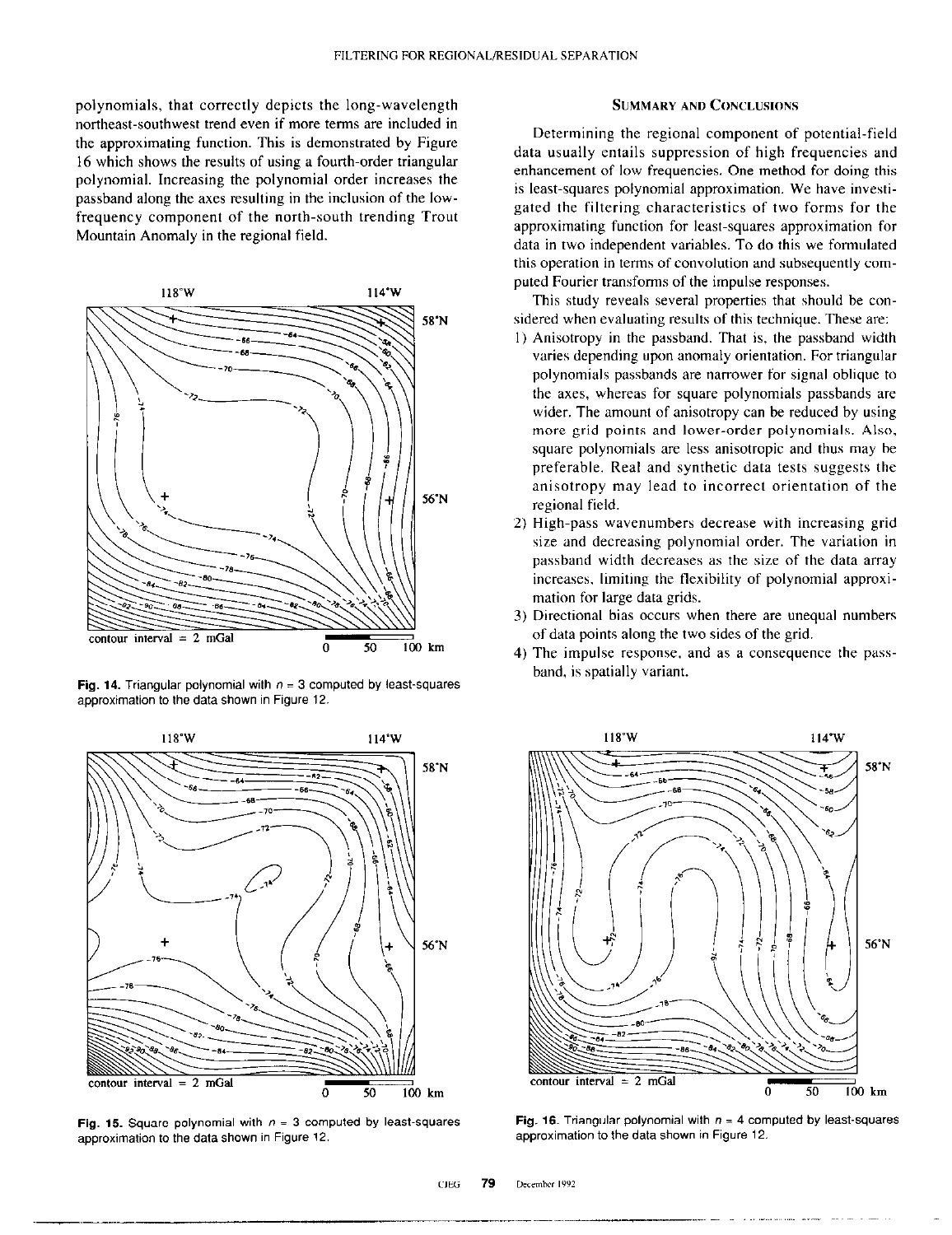polynomials, that correctly depicts the long-wavelength northeast-southwest trend even if more terms are included in the approximating function. This is demonstrated by Figure 16 which shows the results of using a fourth-order triangular polynomial. Increasing the polynomial order increases the passband along the axes resulting in the inclusion of the lowfrequency component of the north-south trending Trout Mountain Anomaly in the regional field.



Fig. 14. Triangular polynomial with  $n = 3$  computed by least-squares approximation to the data shown in Figure 12.



approximation to the data shown in Figure 12.

# SUMMARY AND C0NCLUS10NS

Determining the regional component of potential-field data usually entails suppression of high frequencies and enhancement of low frequencies. One method for doing this is least-squares polynomial approximation. We have investigated the filtering characteristics of two forms for the approximating function for least-squares approximation for data in two independent variables. To do this we formulated this operation in terms of convolution and subsequently computed Fourier transforms of the impulse responses.

This study reveals several properties that should be considered when evaluating results of this technique. These are:

- I) Anisotropy in the passband. That is, the passband width varies depending upon anomaly orientation. For triangular polynomials passbands are narrower for signal oblique to the axes, whereas for square polynomials passbands are wider. The amount of anisotropy can be reduced by using more grid points and lower-order polynomials. Also, square polynomials are less anisotropic and thus may he preferable. Real and synthetic data tests suggests the anisotropy may lead to incorrect orientation of the regional field.
- 2) High-pass wavenumbers decrease with increasing grid size and decreasing polynomial order. The variation in pessband width decreases as the size of the data array increases, limiting the flexibility of polynomial approximation for large data grids.
- 3) Directional bias occurs when there are unequal numbers of data points along the two sides of the grid.
- 4) The impulse response, and as a consequence the passband, is spatially variant.



Fig. 15. Square polynomial with  $n = 3$  computed by least-squares Fig. 16. Triangular polynomial with  $n = 4$  computed by least-squares approximation to the data shown in Figure 12.